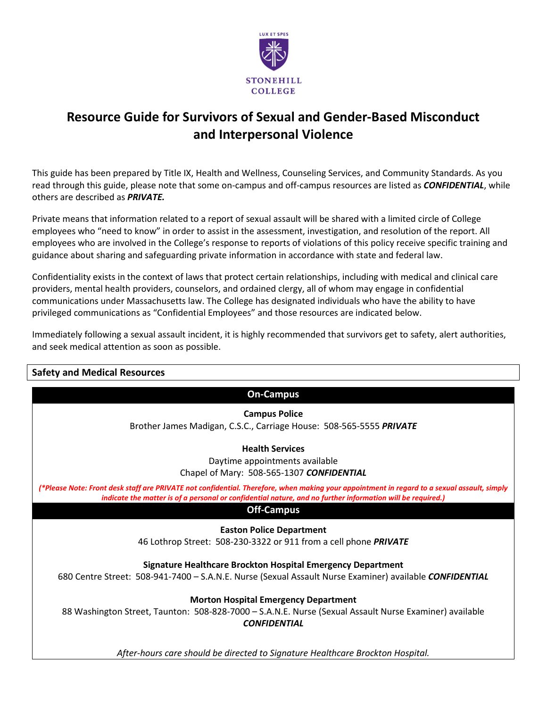

# **Resource Guide for Survivors of Sexual and Gender-Based Misconduct and Interpersonal Violence**

This guide has been prepared by Title IX, Health and Wellness, Counseling Services, and Community Standards. As you read through this guide, please note that some on-campus and off-campus resources are listed as *CONFIDENTIAL*, while others are described as *PRIVATE.*

Private means that information related to a report of sexual assault will be shared with a limited circle of College employees who "need to know" in order to assist in the assessment, investigation, and resolution of the report. All employees who are involved in the College's response to reports of violations of this policy receive specific training and guidance about sharing and safeguarding private information in accordance with state and federal law.

Confidentiality exists in the context of laws that protect certain relationships, including with medical and clinical care providers, mental health providers, counselors, and ordained clergy, all of whom may engage in confidential communications under Massachusetts law. The College has designated individuals who have the ability to have privileged communications as "Confidential Employees" and those resources are indicated below.

Immediately following a sexual assault incident, it is highly recommended that survivors get to safety, alert authorities, and seek medical attention as soon as possible.

# **Safety and Medical Resources On-Campus Campus Police** Brother James Madigan, C.S.C., Carriage House: 508-565-5555 *PRIVATE* **Health Services** Daytime appointments available Chapel of Mary:508-565-1307 *CONFIDENTIAL (\*Please Note: Front desk staff are PRIVATE not confidential. Therefore, when making your appointment in regard to a sexual assault, simply indicate the matter is of a personal or confidential nature, and no further information will be required.)* **Off-Campus Easton Police Department** 46 Lothrop Street: 508-230-3322 or 911 from a cell phone *PRIVATE* **Signature Healthcare Brockton Hospital Emergency Department** 680 Centre Street: 508-941-7400 – S.A.N.E. Nurse (Sexual Assault Nurse Examiner) available *CONFIDENTIAL* **Morton Hospital Emergency Department** 88 Washington Street, Taunton: 508-828-7000 – S.A.N.E. Nurse (Sexual Assault Nurse Examiner) available *CONFIDENTIAL After-hours care should be directed to Signature Healthcare Brockton Hospital.*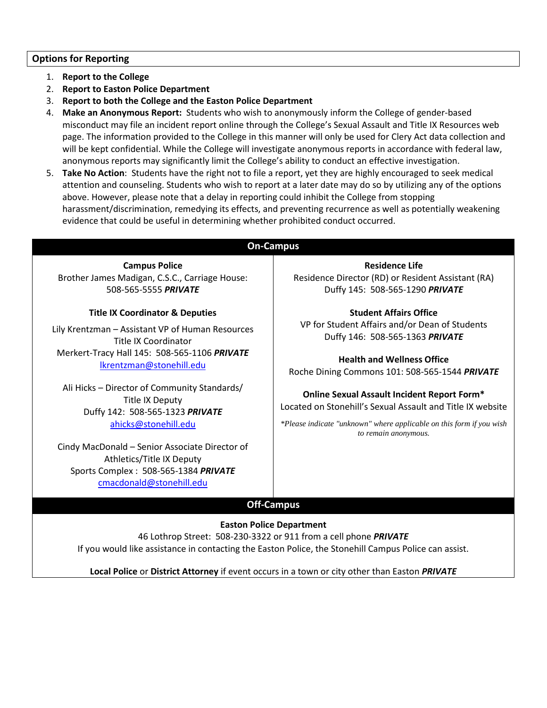# **Options for Reporting**

- 1. **Report to the College**
- 2. **Report to Easton Police Department**
- 3. **Report to both the College and the Easton Police Department**
- 4. **Make an Anonymous Report:** Students who wish to anonymously inform the College of gender-based misconduct may file an incident report online through the College's Sexual Assault and Title IX Resources web page. The information provided to the College in this manner will only be used for Clery Act data collection and will be kept confidential. While the College will investigate anonymous reports in accordance with federal law, anonymous reports may significantly limit the College's ability to conduct an effective investigation.
- 5. **Take No Action**: Students have the right not to file a report, yet they are highly encouraged to seek medical attention and counseling. Students who wish to report at a later date may do so by utilizing any of the options above. However, please note that a delay in reporting could inhibit the College from stopping harassment/discrimination, remedying its effects, and preventing recurrence as well as potentially weakening evidence that could be useful in determining whether prohibited conduct occurred.

# **On-Campus**

**Campus Police** Brother James Madigan, C.S.C., Carriage House: 508-565-5555 *PRIVATE*

### **Title IX Coordinator & Deputies**

Lily Krentzman – Assistant VP of Human Resources Title IX Coordinator Merkert-Tracy Hall 145: 508-565-1106 *PRIVATE* [lkrentzman@stonehill.edu](mailto:lkrentzman@stonehill.edu)

Ali Hicks – Director of Community Standards/ Title IX Deputy Duffy 142: 508-565-1323 *PRIVATE* [ahicks@stonehill.edu](mailto:ahicks@stonehill.edu)

Cindy MacDonald – Senior Associate Director of Athletics/Title IX Deputy Sports Complex : 508-565-1384 *PRIVATE* [cmacdonald@stonehill.edu](mailto:cmacdonald@stonehill.edu)

**Residence Life** Residence Director (RD) or Resident Assistant (RA) Duffy 145: 508-565-1290 *PRIVATE*

**Student Affairs Office** VP for Student Affairs and/or Dean of Students Duffy 146: 508-565-1363 *PRIVATE*

**Health and Wellness Office** Roche Dining Commons 101: 508-565-1544 *PRIVATE*

**Online Sexual Assault Incident Report Form\*** Located on Stonehill's Sexual Assault and Title IX website

*\*Please indicate "unknown" where applicable on this form if you wish to remain anonymous.*

# **Off-Campus**

**Easton Police Department** 46 Lothrop Street: 508-230-3322 or 911 from a cell phone *PRIVATE* If you would like assistance in contacting the Easton Police, the Stonehill Campus Police can assist.

**Local Police** or **District Attorney** if event occurs in a town or city other than Easton *PRIVATE*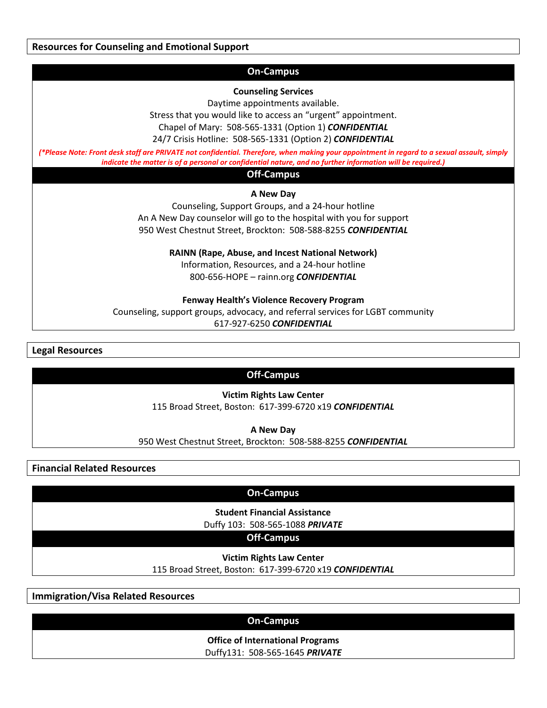**Resources for Counseling and Emotional Support**

### **On-Campus**

### **Counseling Services**

Daytime appointments available.

Stress that you would like to access an "urgent" appointment. Chapel of Mary:508-565-1331 (Option 1) *CONFIDENTIAL* 24/7 Crisis Hotline: 508-565-1331 (Option 2) *CONFIDENTIAL*

*(\*Please Note: Front desk staff are PRIVATE not confidential. Therefore, when making your appointment in regard to a sexual assault, simply indicate the matter is of a personal or confidential nature, and no further information will be required.)*

### **Off-Campus**

### **A New Day**

Counseling, Support Groups, and a 24-hour hotline An A New Day counselor will go to the hospital with you for support 950 West Chestnut Street, Brockton: 508-588-8255 *CONFIDENTIAL*

**RAINN (Rape, Abuse, and Incest National Network)**

Information, Resources, and a 24-hour hotline 800-656-HOPE – rainn.org *CONFIDENTIAL*

### **Fenway Health's Violence Recovery Program**

Counseling, support groups, advocacy, and referral services for LGBT community 617-927-6250 *CONFIDENTIAL*

**Legal Resources**

# **Off-Campus**

### **Victim Rights Law Center**

115 Broad Street, Boston: 617-399-6720 x19 *CONFIDENTIAL*

**A New Day**

950 West Chestnut Street, Brockton: 508-588-8255 *CONFIDENTIAL*

**Financial Related Resources**

### **On-Campus**

**Student Financial Assistance**

Duffy 103: 508-565-1088 *PRIVATE*

# **Off-Campus**

**Victim Rights Law Center**

115 Broad Street, Boston: 617-399-6720 x19 *CONFIDENTIAL*

**Immigration/Visa Related Resources**

# **On-Campus**

**Office of International Programs**

Duffy131: 508-565-1645 *PRIVATE*